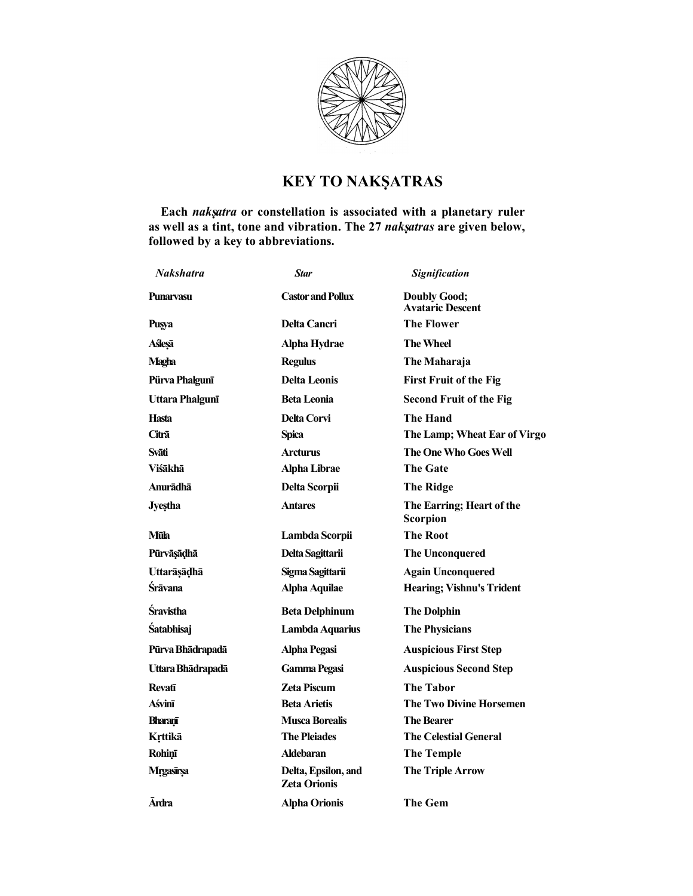

## KEY TO NAKṢATRAS

Each nakṣatra or constellation is associated with a planetary ruler as well as a tint, tone and vibration. The 27 nakṣatras are given below, followed by a key to abbreviations.

| <b>Nakshatra</b>  | <b>Star</b>                         | Signification                                  |
|-------------------|-------------------------------------|------------------------------------------------|
| <b>Punaryasu</b>  | <b>Castor and Pollux</b>            | <b>Doubly Good;</b><br><b>Avataric Descent</b> |
| Puşya             | <b>Delta Cancri</b>                 | The Flower                                     |
| Aślesā            | Alpha Hydrae                        | The Wheel                                      |
| Magha             | <b>Regulus</b>                      | The Maharaja                                   |
| Pürva Phalgunī    | <b>Delta Leonis</b>                 | <b>First Fruit of the Fig</b>                  |
| Uttara Phalgunī   | <b>Beta Leonia</b>                  | <b>Second Fruit of the Fig</b>                 |
| Hasta             | <b>Delta Corvi</b>                  | <b>The Hand</b>                                |
| Citrā             | Spica                               | The Lamp; Wheat Ear of Virgo                   |
| Svāti             | <b>Arcturus</b>                     | <b>The One Who Goes Well</b>                   |
| Viśākhā           | <b>Alpha Librae</b>                 | <b>The Gate</b>                                |
| Anurādhā          | Delta Scorpii                       | The Ridge                                      |
| <b>Jyestha</b>    | <b>Antares</b>                      | The Earring; Heart of the<br>Scorpion          |
| Mūla              | Lambda Scorpii                      | <b>The Root</b>                                |
| Pūrvāṣāḍhā        | Delta Sagittarii                    | <b>The Unconquered</b>                         |
| Uttarāşādhā       | Sigma Sagittarii                    | <b>Again Unconquered</b>                       |
| Śrāvana           | <b>Alpha Aquilae</b>                | <b>Hearing</b> ; Vishnu's Trident              |
| <b>Sravistha</b>  | <b>Beta Delphinum</b>               | <b>The Dolphin</b>                             |
| <b>Śatabhisaj</b> | Lambda Aquarius                     | <b>The Physicians</b>                          |
| Pūrva Bhādrapadā  | <b>Alpha Pegasi</b>                 | <b>Auspicious First Step</b>                   |
| Uttara Bhādrapadā | <b>Gamma Pegasi</b>                 | <b>Auspicious Second Step</b>                  |
| <b>Revafi</b>     | <b>Zeta Piscum</b>                  | The Tabor                                      |
| Aśvinī            | <b>Beta Arietis</b>                 | The Two Divine Horsemen                        |
| Bharanī           | <b>Musca Borealis</b>               | <b>The Bearer</b>                              |
| Krttikā           | <b>The Pleiades</b>                 | <b>The Celestial General</b>                   |
| <b>Rohinī</b>     | <b>Aldebaran</b>                    | <b>The Temple</b>                              |
| Mrgasīrsa         | Delta, Epsilon, and<br>Zeta Orionis | <b>The Triple Arrow</b>                        |
| <b>Ārdra</b>      | <b>Alpha Orionis</b>                | <b>The Gem</b>                                 |